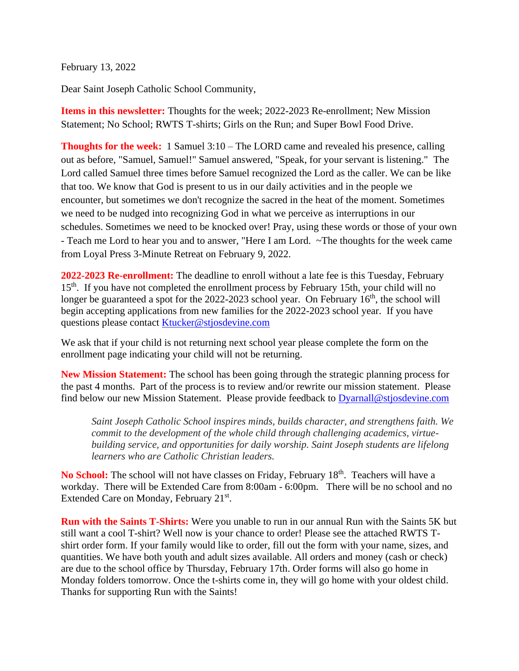February 13, 2022

Dear Saint Joseph Catholic School Community,

**Items in this newsletter:** Thoughts for the week; 2022-2023 Re-enrollment; New Mission Statement; No School; RWTS T-shirts; Girls on the Run; and Super Bowl Food Drive.

**Thoughts for the week:** 1 Samuel 3:10 – The LORD came and revealed his presence, calling out as before, "Samuel, Samuel!" Samuel answered, "Speak, for your servant is listening." The Lord called Samuel three times before Samuel recognized the Lord as the caller. We can be like that too. We know that God is present to us in our daily activities and in the people we encounter, but sometimes we don't recognize the sacred in the heat of the moment. Sometimes we need to be nudged into recognizing God in what we perceive as interruptions in our schedules. Sometimes we need to be knocked over! Pray, using these words or those of your own - Teach me Lord to hear you and to answer, "Here I am Lord. ~The thoughts for the week came from Loyal Press 3-Minute Retreat on February 9, 2022.

**2022-2023 Re-enrollment:** The deadline to enroll without a late fee is this Tuesday, February 15<sup>th</sup>. If you have not completed the enrollment process by February 15th, your child will no longer be guaranteed a spot for the  $2022$ -2023 school year. On February  $16<sup>th</sup>$ , the school will begin accepting applications from new families for the 2022-2023 school year. If you have questions please contact [Ktucker@stjosdevine.com](mailto:Ktucker@stjosdevine.com)

We ask that if your child is not returning next school year please complete the form on the enrollment page indicating your child will not be returning.

**New Mission Statement:** The school has been going through the strategic planning process for the past 4 months. Part of the process is to review and/or rewrite our mission statement. Please find below our new Mission Statement. Please provide feedback to [Dyarnall@stjosdevine.com](mailto:Dyarnall@stjosdevine.com)

*Saint Joseph Catholic School inspires minds, builds character, and strengthens faith. We commit to the development of the whole child through challenging academics, virtuebuilding service, and opportunities for daily worship. Saint Joseph students are lifelong learners who are Catholic Christian leaders.* 

No School: The school will not have classes on Friday, February 18<sup>th</sup>. Teachers will have a workday. There will be Extended Care from 8:00am - 6:00pm. There will be no school and no Extended Care on Monday, February 21<sup>st</sup>.

**Run with the Saints T-Shirts:** Were you unable to run in our annual Run with the Saints 5K but still want a cool T-shirt? Well now is your chance to order! Please see the attached RWTS Tshirt order form. If your family would like to order, fill out the form with your name, sizes, and quantities. We have both youth and adult sizes available. All orders and money (cash or check) are due to the school office by Thursday, February 17th. Order forms will also go home in Monday folders tomorrow. Once the t-shirts come in, they will go home with your oldest child. Thanks for supporting Run with the Saints!